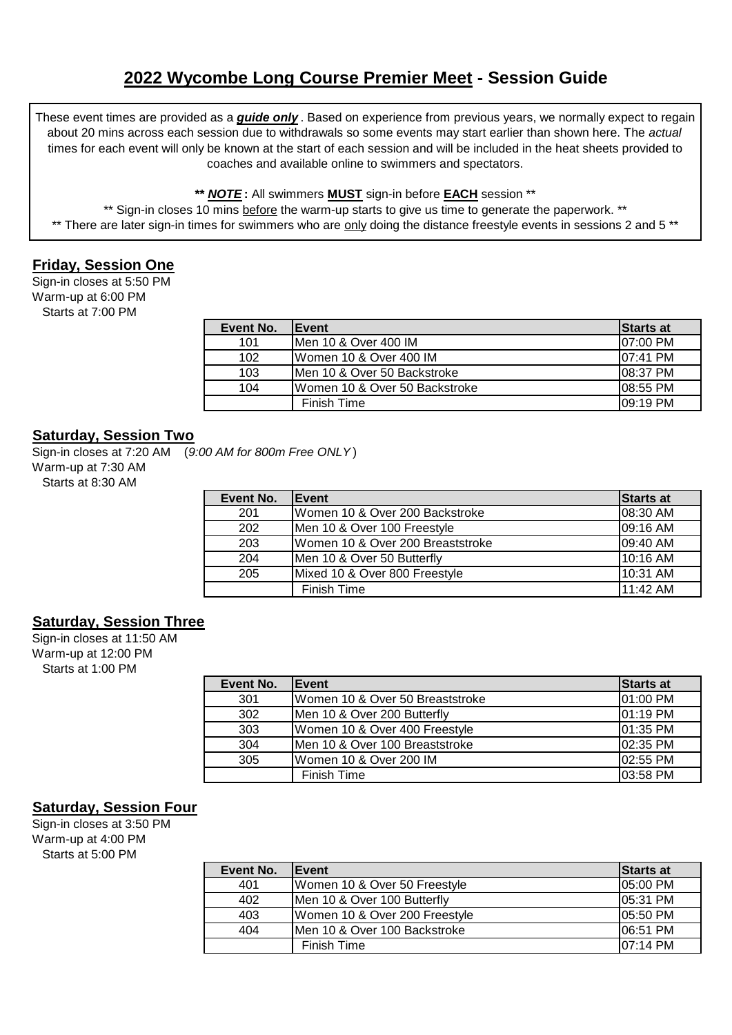# **2022 Wycombe Long Course Premier Meet - Session Guide**

These event times are provided as a *guide only* . Based on experience from previous years, we normally expect to regain about 20 mins across each session due to withdrawals so some events may start earlier than shown here. The *actual*  times for each event will only be known at the start of each session and will be included in the heat sheets provided to coaches and available online to swimmers and spectators.

#### **\*\*** *NOTE* **:** All swimmers **MUST** sign-in before **EACH** session \*\*

\*\* Sign-in closes 10 mins before the warm-up starts to give us time to generate the paperwork. \*\* \*\* There are later sign-in times for swimmers who are only doing the distance freestyle events in sessions 2 and 5 \*\*

## **Friday, Session One**

Sign-in closes at 5:50 PM Warm-up at 6:00 PM Starts at 7:00 PM

| Event No. | <b>Event</b>                  | <b>Starts at</b> |
|-----------|-------------------------------|------------------|
| 101       | Men 10 & Over 400 IM          | 07:00 PM         |
| 102       | Women 10 & Over 400 IM        | 107:41 PM        |
| 103       | IMen 10 & Over 50 Backstroke  | 108:37 PM        |
| 104       | Women 10 & Over 50 Backstroke | 08:55 PM         |
|           | Finish Time                   | I09:19 PM        |

## **Saturday, Session Two**

Sign-in closes at 7:20 AM (*9:00 AM for 800m Free ONLY* ) Warm-up at 7:30 AM Starts at 8:30 AM

| Event No. | Event                            | Starts at |
|-----------|----------------------------------|-----------|
| 201       | Women 10 & Over 200 Backstroke   | 08:30 AM  |
| 202       | Men 10 & Over 100 Freestyle      | 09:16 AM  |
| 203       | Women 10 & Over 200 Breaststroke | 09:40 AM  |
| 204       | Men 10 & Over 50 Butterfly       | 10:16 AM  |
| 205       | Mixed 10 & Over 800 Freestyle    | 10:31 AM  |
|           | Finish Time                      | 11:42 AM  |

### **Saturday, Session Three**

Sign-in closes at 11:50 AM Warm-up at 12:00 PM Starts at 1:00 PM

| Event No. | Event                           | Starts at  |
|-----------|---------------------------------|------------|
| 301       | Women 10 & Over 50 Breaststroke | 01:00 PM   |
| 302       | Men 10 & Over 200 Butterfly     | $01:19$ PM |
| 303       | Women 10 & Over 400 Freestyle   | 01:35 PM   |
| 304       | Men 10 & Over 100 Breaststroke  | 02:35 PM   |
| 305       | Women 10 & Over 200 IM          | 02:55 PM   |
|           | <b>Finish Time</b>              | 03:58 PM   |

### **Saturday, Session Four**

Sign-in closes at 3:50 PM Warm-up at 4:00 PM Starts at 5:00 PM

| Event No. | Event                         | Starts at           |
|-----------|-------------------------------|---------------------|
| 401       | Women 10 & Over 50 Freestyle  | 05:00 PM            |
| 402       | Men 10 & Over 100 Butterfly   | 05:31 PM            |
| 403       | Women 10 & Over 200 Freestyle | 05:50 PM            |
| 404       | Men 10 & Over 100 Backstroke  | 06:51 PM            |
|           | Finish Time                   | $107:14 \text{ PM}$ |